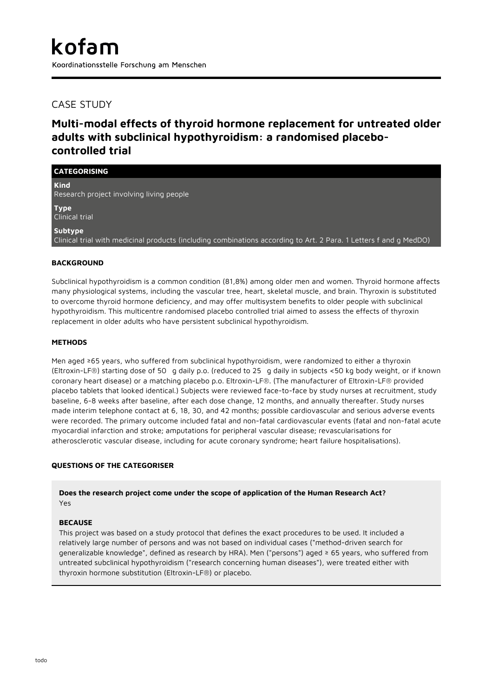# CASE STUDY

# **Multi-modal effects of thyroid hormone replacement for untreated older adults with subclinical hypothyroidism: a randomised placebocontrolled trial**

| <b>CATEGORISING</b>                                                                                                          |
|------------------------------------------------------------------------------------------------------------------------------|
| <b>Kind</b><br>Research project involving living people                                                                      |
| <b>Type</b><br>Clinical trial                                                                                                |
| Subtype<br>Clinical trial with medicinal products (including combinations according to Art. 2 Para. 1 Letters f and g MedDO) |

## **BACKGROUND**

Subclinical hypothyroidism is a common condition (81,8%) among older men and women. Thyroid hormone affects many physiological systems, including the vascular tree, heart, skeletal muscle, and brain. Thyroxin is substituted to overcome thyroid hormone deficiency, and may offer multisystem benefits to older people with subclinical hypothyroidism. This multicentre randomised placebo controlled trial aimed to assess the effects of thyroxin replacement in older adults who have persistent subclinical hypothyroidism.

## **METHODS**

Men aged ≥65 years, who suffered from subclinical hypothyroidism, were randomized to either a thyroxin (Eltroxin-LF®) starting dose of 50 g daily p.o. (reduced to 25 g daily in subjects <50 kg body weight, or if known coronary heart disease) or a matching placebo p.o. Eltroxin-LF®. (The manufacturer of Eltroxin-LF® provided placebo tablets that looked identical.) Subjects were reviewed face-to-face by study nurses at recruitment, study baseline, 6-8 weeks after baseline, after each dose change, 12 months, and annually thereafter. Study nurses made interim telephone contact at 6, 18, 30, and 42 months; possible cardiovascular and serious adverse events were recorded. The primary outcome included fatal and non-fatal cardiovascular events (fatal and non-fatal acute myocardial infarction and stroke; amputations for peripheral vascular disease; revascularisations for atherosclerotic vascular disease, including for acute coronary syndrome; heart failure hospitalisations).

## **QUESTIONS OF THE CATEGORISER**

**Does the research project come under the scope of application of the Human Research Act?** Yes

## **BECAUSE**

This project was based on a study protocol that defines the exact procedures to be used. It included a relatively large number of persons and was not based on individual cases ("method-driven search for generalizable knowledge", defined as research by HRA). Men ("persons") aged ≥ 65 years, who suffered from untreated subclinical hypothyroidism ("research concerning human diseases"), were treated either with thyroxin hormone substitution (Eltroxin-LF®) or placebo.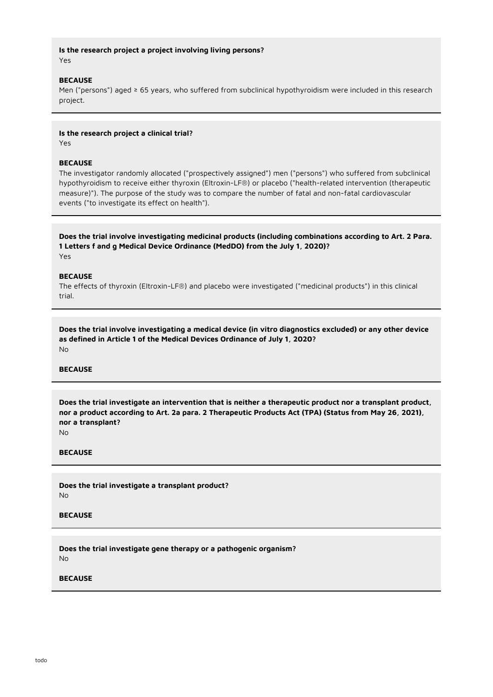## **Is the research project a project involving living persons?** Yes

#### **BECAUSE**

Men ("persons") aged ≥ 65 years, who suffered from subclinical hypothyroidism were included in this research project.

### **Is the research project a clinical trial?**

Yes

### **BECAUSE**

The investigator randomly allocated ("prospectively assigned") men ("persons") who suffered from subclinical hypothyroidism to receive either thyroxin (Eltroxin-LF®) or placebo ("health-related intervention (therapeutic measure)"). The purpose of the study was to compare the number of fatal and non-fatal cardiovascular events ("to investigate its effect on health").

**Does the trial involve investigating medicinal products (including combinations according to Art. 2 Para. 1 Letters f and g Medical Device Ordinance (MedDO) from the July 1, 2020)?**

Yes

#### **BECAUSE**

The effects of thyroxin (Eltroxin-LF®) and placebo were investigated ("medicinal products") in this clinical trial.

**Does the trial involve investigating a medical device (in vitro diagnostics excluded) or any other device as defined in Article 1 of the Medical Devices Ordinance of July 1, 2020?** No

#### **BECAUSE**

**Does the trial investigate an intervention that is neither a therapeutic product nor a transplant product, nor a product according to Art. 2a para. 2 Therapeutic Products Act (TPA) (Status from May 26, 2021), nor a transplant?**

No

#### **BECAUSE**

**Does the trial investigate a transplant product?** No

#### **BECAUSE**

**Does the trial investigate gene therapy or a pathogenic organism?** No

### **BECAUSE**